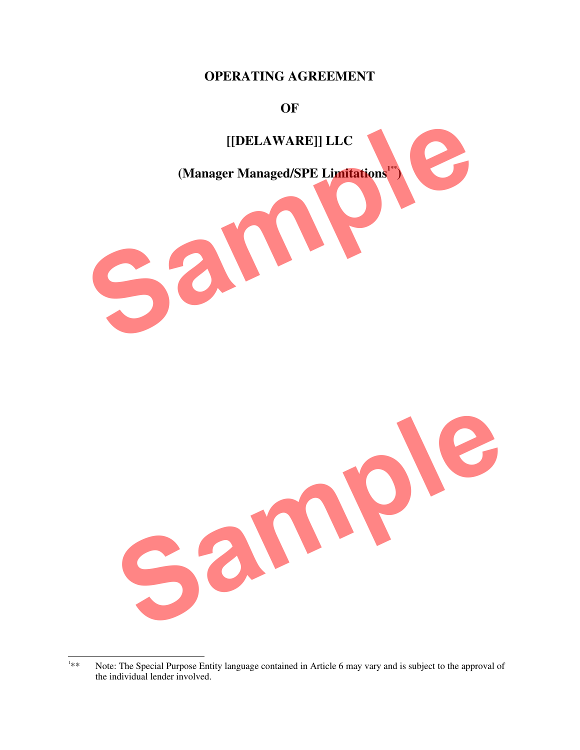## **OPERATING AGREEMENT**

#### **OF**



 $\frac{1}{1}$ Note: The Special Purpose Entity language contained in Article 6 may vary and is subject to the approval of the individual lender involved.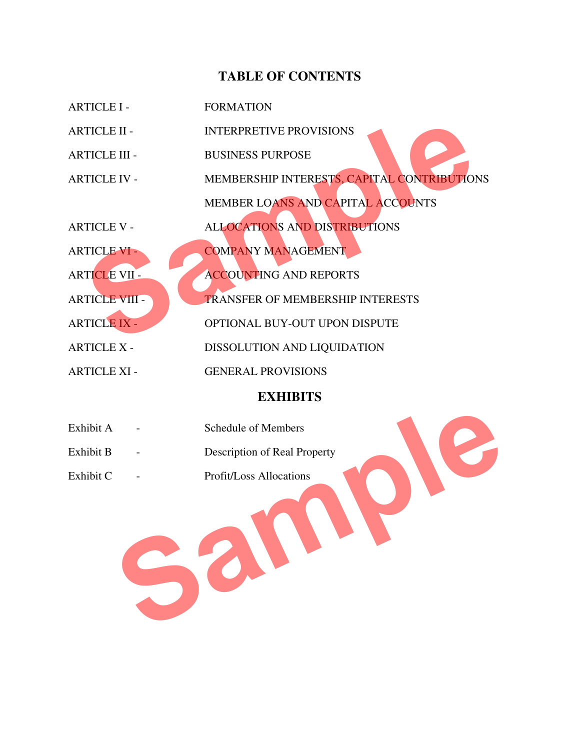## **TABLE OF CONTENTS**

| <b>ARTICLE I -</b>    | <b>FORMATION</b>                            |
|-----------------------|---------------------------------------------|
| <b>ARTICLE II -</b>   | <b>INTERPRETIVE PROVISIONS</b>              |
| <b>ARTICLE III -</b>  | <b>BUSINESS PURPOSE</b>                     |
| <b>ARTICLE IV -</b>   | MEMBERSHIP INTERESTS, CAPITAL CONTRIBUTIONS |
|                       | MEMBER LOANS AND CAPITAL ACCOUNTS           |
| <b>ARTICLE V -</b>    | <b>ALLOCATIONS AND DISTRIBUTIONS</b>        |
| <b>ARTICLE VI -</b>   | <b>COMPANY MANAGEMENT</b>                   |
| <b>ARTICLE VII -</b>  | <b>ACCOUNTING AND REPORTS</b>               |
| <b>ARTICLE VIII -</b> | <b>TRANSFER OF MEMBERSHIP INTERESTS</b>     |
| <b>ARTICLE IX -</b>   | OPTIONAL BUY-OUT UPON DISPUTE               |
| <b>ARTICLE X -</b>    | DISSOLUTION AND LIQUIDATION                 |
| <b>ARTICLE XI -</b>   | <b>GENERAL PROVISIONS</b>                   |
|                       |                                             |

# **EXHIBITS**

| Exhibit A<br>Exhibit B | <b>Schedule of Members</b><br>Description of Real Property |  |
|------------------------|------------------------------------------------------------|--|
| Exhibit C              | Profit/Loss Allocations                                    |  |